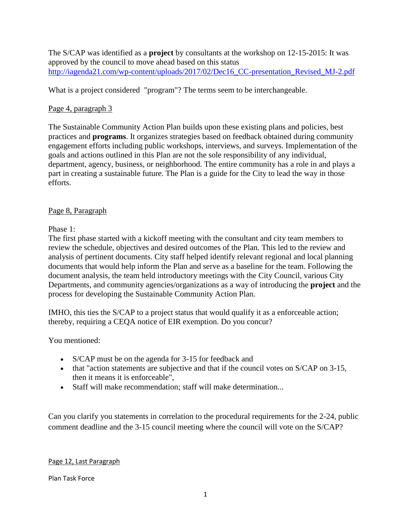The S/CAP was identified as a **project** by consultants at the workshop on 12-15-2015: It was approved by the council to move ahead based on this status [http://iagenda21.com/wp-content/uploads/2017/02/Dec16\\_CC-presentation\\_Revised\\_MJ-2.pdf](http://iagenda21.com/wp-content/uploads/2017/02/Dec16_CC-presentation_Revised_MJ-2.pdf)

What is a project considered "program"? The terms seem to be interchangeable.

# Page 4, paragraph 3

The Sustainable Community Action Plan builds upon these existing plans and policies, best practices and **programs**. It organizes strategies based on feedback obtained during community engagement efforts including public workshops, interviews, and surveys. Implementation of the goals and actions outlined in this Plan are not the sole responsibility of any individual, department, agency, business, or neighborhood. The entire community has a role in and plays a part in creating a sustainable future. The Plan is a guide for the City to lead the way in those efforts.

# Page 8, Paragraph

Phase 1:

The first phase started with a kickoff meeting with the consultant and city team members to review the schedule, objectives and desired outcomes of the Plan. This led to the review and analysis of pertinent documents. City staff helped identify relevant regional and local planning documents that would help inform the Plan and serve as a baseline for the team. Following the document analysis, the team held introductory meetings with the City Council, various City Departments, and community agencies/organizations as a way of introducing the **project** and the process for developing the Sustainable Community Action Plan.

IMHO, this ties the S/CAP to a project status that would qualify it as a enforceable action; thereby, requiring a CEQA notice of EIR exemption. Do you concur?

You mentioned:

- S/CAP must be on the agenda for 3-15 for feedback and
- that "action statements are subjective and that if the council votes on S/CAP on 3-15, then it means it is enforceable",
- Staff will make recommendation; staff will make determination...

Can you clarify you statements in correlation to the procedural requirements for the 2-24, public comment deadline and the 3-15 council meeting where the council will vote on the S/CAP?

# Page 12, Last Paragraph

Plan Task Force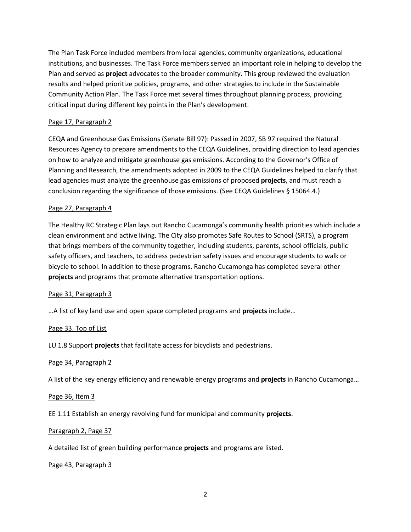The Plan Task Force included members from local agencies, community organizations, educational institutions, and businesses. The Task Force members served an important role in helping to develop the Plan and served as **project** advocates to the broader community. This group reviewed the evaluation results and helped prioritize policies, programs, and other strategies to include in the Sustainable Community Action Plan. The Task Force met several times throughout planning process, providing critical input during different key points in the Plan's development.

#### Page 17, Paragraph 2

CEQA and Greenhouse Gas Emissions (Senate Bill 97): Passed in 2007, SB 97 required the Natural Resources Agency to prepare amendments to the CEQA Guidelines, providing direction to lead agencies on how to analyze and mitigate greenhouse gas emissions. According to the Governor's Office of Planning and Research, the amendments adopted in 2009 to the CEQA Guidelines helped to clarify that lead agencies must analyze the greenhouse gas emissions of proposed **projects**, and must reach a conclusion regarding the significance of those emissions. (See CEQA Guidelines § 15064.4.)

#### Page 27, Paragraph 4

The Healthy RC Strategic Plan lays out Rancho Cucamonga's community health priorities which include a clean environment and active living. The City also promotes Safe Routes to School (SRTS), a program that brings members of the community together, including students, parents, school officials, public safety officers, and teachers, to address pedestrian safety issues and encourage students to walk or bicycle to school. In addition to these programs, Rancho Cucamonga has completed several other **projects** and programs that promote alternative transportation options.

#### Page 31, Paragraph 3

…A list of key land use and open space completed programs and **projects** include…

#### Page 33, Top of List

LU 1.8 Support **projects** that facilitate access for bicyclists and pedestrians.

#### Page 34, Paragraph 2

A list of the key energy efficiency and renewable energy programs and **projects** in Rancho Cucamonga…

#### Page 36, Item 3

EE 1.11 Establish an energy revolving fund for municipal and community **projects**.

#### Paragraph 2, Page 37

A detailed list of green building performance **projects** and programs are listed.

Page 43, Paragraph 3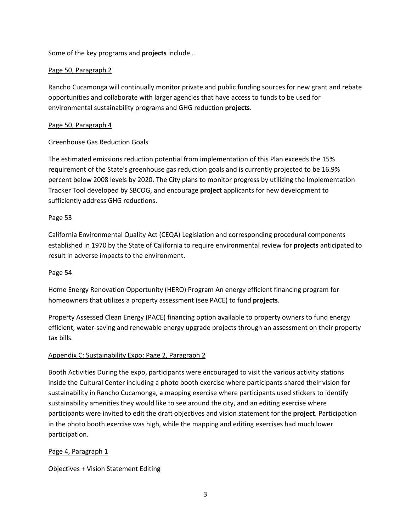Some of the key programs and **projects** include…

### Page 50, Paragraph 2

Rancho Cucamonga will continually monitor private and public funding sources for new grant and rebate opportunities and collaborate with larger agencies that have access to funds to be used for environmental sustainability programs and GHG reduction **projects**.

# Page 50, Paragraph 4

# Greenhouse Gas Reduction Goals

The estimated emissions reduction potential from implementation of this Plan exceeds the 15% requirement of the State's greenhouse gas reduction goals and is currently projected to be 16.9% percent below 2008 levels by 2020. The City plans to monitor progress by utilizing the Implementation Tracker Tool developed by SBCOG, and encourage **project** applicants for new development to sufficiently address GHG reductions.

### Page 53

California Environmental Quality Act (CEQA) Legislation and corresponding procedural components established in 1970 by the State of California to require environmental review for **projects** anticipated to result in adverse impacts to the environment.

### Page 54

Home Energy Renovation Opportunity (HERO) Program An energy efficient financing program for homeowners that utilizes a property assessment (see PACE) to fund **projects**.

Property Assessed Clean Energy (PACE) financing option available to property owners to fund energy efficient, water-saving and renewable energy upgrade projects through an assessment on their property tax bills.

### Appendix C: Sustainability Expo: Page 2, Paragraph 2

Booth Activities During the expo, participants were encouraged to visit the various activity stations inside the Cultural Center including a photo booth exercise where participants shared their vision for sustainability in Rancho Cucamonga, a mapping exercise where participants used stickers to identify sustainability amenities they would like to see around the city, and an editing exercise where participants were invited to edit the draft objectives and vision statement for the **project**. Participation in the photo booth exercise was high, while the mapping and editing exercises had much lower participation.

### Page 4, Paragraph 1

Objectives + Vision Statement Editing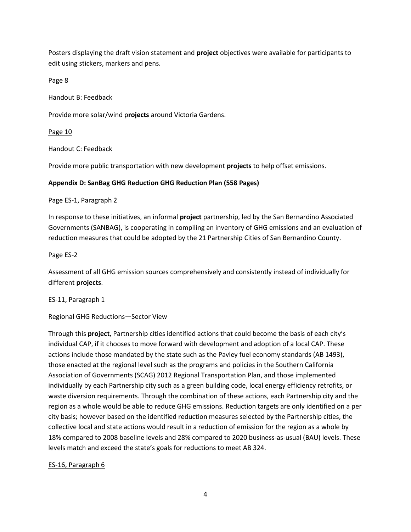Posters displaying the draft vision statement and **project** objectives were available for participants to edit using stickers, markers and pens.

Page 8

Handout B: Feedback

Provide more solar/wind p**rojects** around Victoria Gardens.

#### Page 10

Handout C: Feedback

Provide more public transportation with new development **projects** to help offset emissions.

#### **Appendix D: SanBag GHG Reduction GHG Reduction Plan (558 Pages)**

Page ES-1, Paragraph 2

In response to these initiatives, an informal **project** partnership, led by the San Bernardino Associated Governments (SANBAG), is cooperating in compiling an inventory of GHG emissions and an evaluation of reduction measures that could be adopted by the 21 Partnership Cities of San Bernardino County.

Page ES-2

Assessment of all GHG emission sources comprehensively and consistently instead of individually for different **projects**.

ES-11, Paragraph 1

Regional GHG Reductions—Sector View

Through this **project**, Partnership cities identified actions that could become the basis of each city's individual CAP, if it chooses to move forward with development and adoption of a local CAP. These actions include those mandated by the state such as the Pavley fuel economy standards (AB 1493), those enacted at the regional level such as the programs and policies in the Southern California Association of Governments (SCAG) 2012 Regional Transportation Plan, and those implemented individually by each Partnership city such as a green building code, local energy efficiency retrofits, or waste diversion requirements. Through the combination of these actions, each Partnership city and the region as a whole would be able to reduce GHG emissions. Reduction targets are only identified on a per city basis; however based on the identified reduction measures selected by the Partnership cities, the collective local and state actions would result in a reduction of emission for the region as a whole by 18% compared to 2008 baseline levels and 28% compared to 2020 business-as-usual (BAU) levels. These levels match and exceed the state's goals for reductions to meet AB 324.

### ES-16, Paragraph 6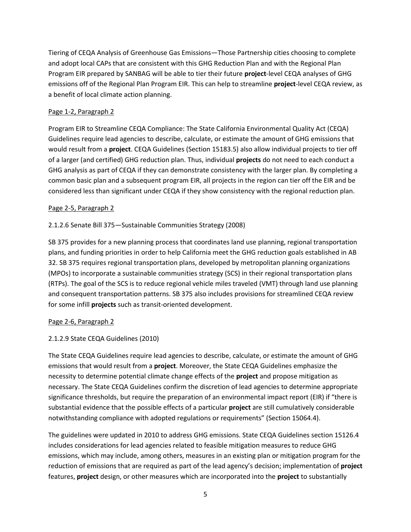Tiering of CEQA Analysis of Greenhouse Gas Emissions—Those Partnership cities choosing to complete and adopt local CAPs that are consistent with this GHG Reduction Plan and with the Regional Plan Program EIR prepared by SANBAG will be able to tier their future **project**‐level CEQA analyses of GHG emissions off of the Regional Plan Program EIR. This can help to streamline **project**‐level CEQA review, as a benefit of local climate action planning.

# Page 1-2, Paragraph 2

Program EIR to Streamline CEQA Compliance: The State California Environmental Quality Act (CEQA) Guidelines require lead agencies to describe, calculate, or estimate the amount of GHG emissions that would result from a **project**. CEQA Guidelines (Section 15183.5) also allow individual projects to tier off of a larger (and certified) GHG reduction plan. Thus, individual **projects** do not need to each conduct a GHG analysis as part of CEQA if they can demonstrate consistency with the larger plan. By completing a common basic plan and a subsequent program EIR, all projects in the region can tier off the EIR and be considered less than significant under CEQA if they show consistency with the regional reduction plan.

### Page 2-5, Paragraph 2

# 2.1.2.6 Senate Bill 375—Sustainable Communities Strategy (2008)

SB 375 provides for a new planning process that coordinates land use planning, regional transportation plans, and funding priorities in order to help California meet the GHG reduction goals established in AB 32. SB 375 requires regional transportation plans, developed by metropolitan planning organizations (MPOs) to incorporate a sustainable communities strategy (SCS) in their regional transportation plans (RTPs). The goal of the SCS is to reduce regional vehicle miles traveled (VMT) through land use planning and consequent transportation patterns. SB 375 also includes provisions for streamlined CEQA review for some infill **projects** such as transit‐oriented development.

### Page 2-6, Paragraph 2

### 2.1.2.9 State CEQA Guidelines (2010)

The State CEQA Guidelines require lead agencies to describe, calculate, or estimate the amount of GHG emissions that would result from a **project**. Moreover, the State CEQA Guidelines emphasize the necessity to determine potential climate change effects of the **project** and propose mitigation as necessary. The State CEQA Guidelines confirm the discretion of lead agencies to determine appropriate significance thresholds, but require the preparation of an environmental impact report (EIR) if "there is substantial evidence that the possible effects of a particular **project** are still cumulatively considerable notwithstanding compliance with adopted regulations or requirements" (Section 15064.4).

The guidelines were updated in 2010 to address GHG emissions. State CEQA Guidelines section 15126.4 includes considerations for lead agencies related to feasible mitigation measures to reduce GHG emissions, which may include, among others, measures in an existing plan or mitigation program for the reduction of emissions that are required as part of the lead agency's decision; implementation of **project**  features, **project** design, or other measures which are incorporated into the **project** to substantially